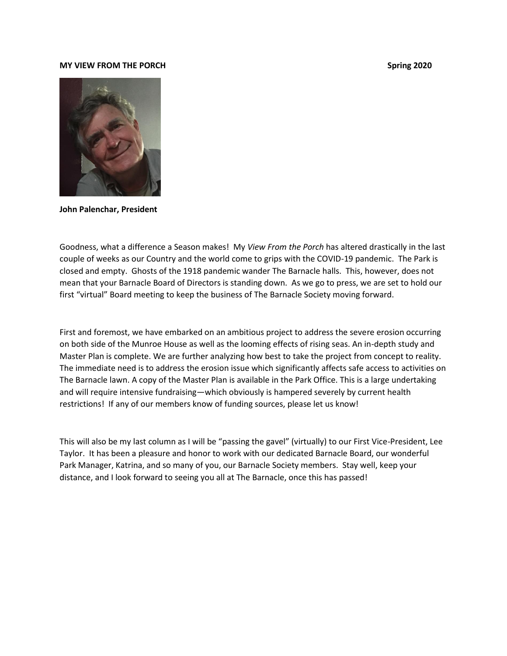#### **MY VIEW FROM THE PORCH Spring 2020**



**John Palenchar, President**

Goodness, what a difference a Season makes! My *View From the Porch* has altered drastically in the last couple of weeks as our Country and the world come to grips with the COVID-19 pandemic. The Park is closed and empty. Ghosts of the 1918 pandemic wander The Barnacle halls. This, however, does not mean that your Barnacle Board of Directors is standing down. As we go to press, we are set to hold our first "virtual" Board meeting to keep the business of The Barnacle Society moving forward.

First and foremost, we have embarked on an ambitious project to address the severe erosion occurring on both side of the Munroe House as well as the looming effects of rising seas. An in-depth study and Master Plan is complete. We are further analyzing how best to take the project from concept to reality. The immediate need is to address the erosion issue which significantly affects safe access to activities on The Barnacle lawn. A copy of the Master Plan is available in the Park Office. This is a large undertaking and will require intensive fundraising—which obviously is hampered severely by current health restrictions! If any of our members know of funding sources, please let us know!

This will also be my last column as I will be "passing the gavel" (virtually) to our First Vice-President, Lee Taylor. It has been a pleasure and honor to work with our dedicated Barnacle Board, our wonderful Park Manager, Katrina, and so many of you, our Barnacle Society members. Stay well, keep your distance, and I look forward to seeing you all at The Barnacle, once this has passed!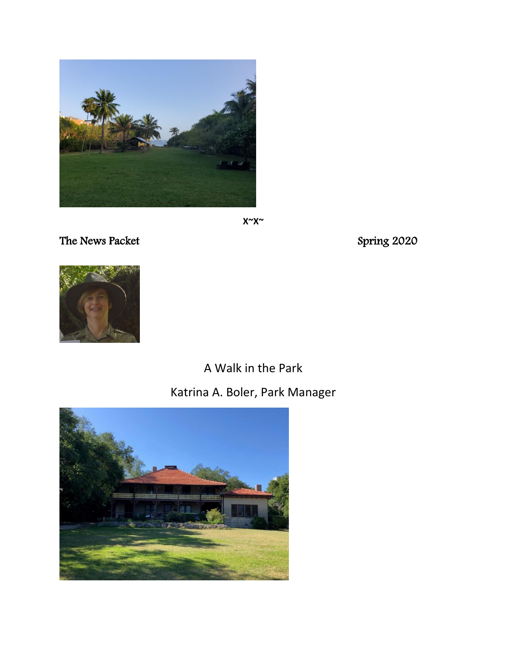

**X~X~**

The News Packet Spring 2020



# A Walk in the Park Katrina A. Boler, Park Manager

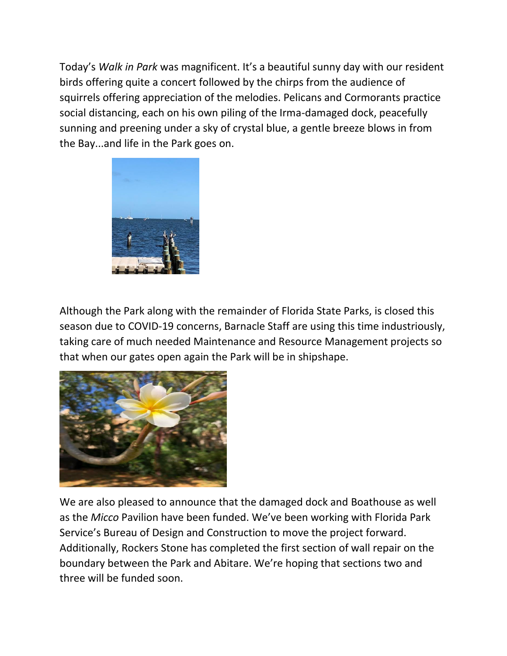Today's *Walk in Park* was magnificent. It's a beautiful sunny day with our resident birds offering quite a concert followed by the chirps from the audience of squirrels offering appreciation of the melodies. Pelicans and Cormorants practice social distancing, each on his own piling of the Irma-damaged dock, peacefully sunning and preening under a sky of crystal blue, a gentle breeze blows in from the Bay...and life in the Park goes on.



Although the Park along with the remainder of Florida State Parks, is closed this season due to COVID-19 concerns, Barnacle Staff are using this time industriously, taking care of much needed Maintenance and Resource Management projects so that when our gates open again the Park will be in shipshape.



We are also pleased to announce that the damaged dock and Boathouse as well as the *Micco* Pavilion have been funded. We've been working with Florida Park Service's Bureau of Design and Construction to move the project forward. Additionally, Rockers Stone has completed the first section of wall repair on the boundary between the Park and Abitare. We're hoping that sections two and three will be funded soon.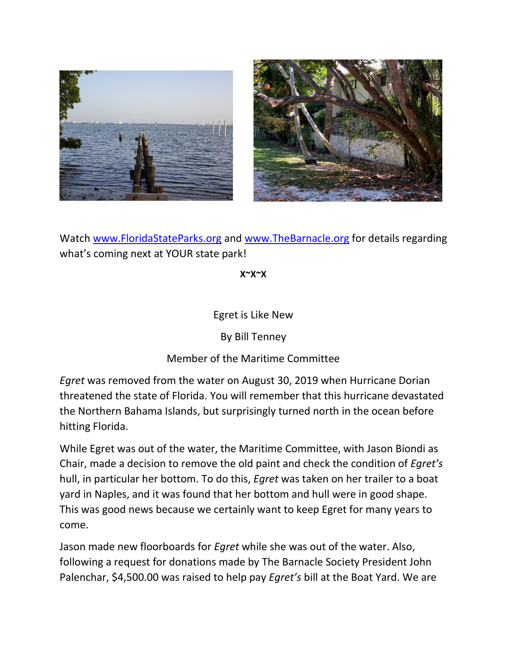



Watch [www.FloridaStateParks.org](http://www.floridastateparks.org/) and [www.TheBarnacle.org](http://www.thebarnacle.org/) for details regarding what's coming next at YOUR state park!

**X~X~X**

Egret is Like New

By Bill Tenney

Member of the Maritime Committee

*Egret* was removed from the water on August 30, 2019 when Hurricane Dorian threatened the state of Florida. You will remember that this hurricane devastated the Northern Bahama Islands, but surprisingly turned north in the ocean before hitting Florida.

While Egret was out of the water, the Maritime Committee, with Jason Biondi as Chair, made a decision to remove the old paint and check the condition of *Egret's* hull, in particular her bottom. To do this, *Egret* was taken on her trailer to a boat yard in Naples, and it was found that her bottom and hull were in good shape. This was good news because we certainly want to keep Egret for many years to come.

Jason made new floorboards for *Egret* while she was out of the water. Also, following a request for donations made by The Barnacle Society President John Palenchar, \$4,500.00 was raised to help pay *Egret's* bill at the Boat Yard. We are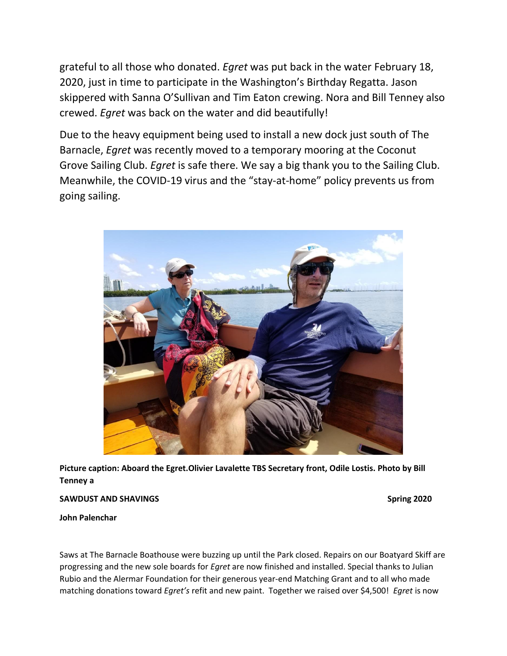grateful to all those who donated. *Egret* was put back in the water February 18, 2020, just in time to participate in the Washington's Birthday Regatta. Jason skippered with Sanna O'Sullivan and Tim Eaton crewing. Nora and Bill Tenney also crewed. *Egret* was back on the water and did beautifully!

Due to the heavy equipment being used to install a new dock just south of The Barnacle, *Egret* was recently moved to a temporary mooring at the Coconut Grove Sailing Club. *Egret* is safe there. We say a big thank you to the Sailing Club. Meanwhile, the COVID-19 virus and the "stay-at-home" policy prevents us from going sailing.



**Picture caption: Aboard the Egret.Olivier Lavalette TBS Secretary front, Odile Lostis. Photo by Bill Tenney a**

#### **SAWDUST AND SHAVINGS Spring 2020**

**John Palenchar**

Saws at The Barnacle Boathouse were buzzing up until the Park closed. Repairs on our Boatyard Skiff are progressing and the new sole boards for *Egret* are now finished and installed. Special thanks to Julian Rubio and the Alermar Foundation for their generous year-end Matching Grant and to all who made matching donations toward *Egret's* refit and new paint. Together we raised over \$4,500! *Egret* is now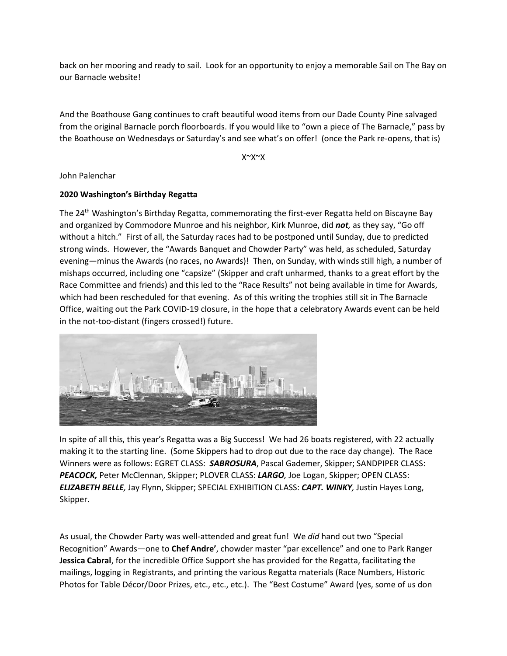back on her mooring and ready to sail. Look for an opportunity to enjoy a memorable Sail on The Bay on our Barnacle website!

And the Boathouse Gang continues to craft beautiful wood items from our Dade County Pine salvaged from the original Barnacle porch floorboards. If you would like to "own a piece of The Barnacle," pass by the Boathouse on Wednesdays or Saturday's and see what's on offer! (once the Park re-opens, that is)

X~X~X

John Palenchar

### **2020 Washington's Birthday Regatta**

The 24<sup>th</sup> Washington's Birthday Regatta, commemorating the first-ever Regatta held on Biscayne Bay and organized by Commodore Munroe and his neighbor, Kirk Munroe, did *not,* as they say, "Go off without a hitch." First of all, the Saturday races had to be postponed until Sunday, due to predicted strong winds. However, the "Awards Banquet and Chowder Party" was held, as scheduled, Saturday evening—minus the Awards (no races, no Awards)! Then, on Sunday, with winds still high, a number of mishaps occurred, including one "capsize" (Skipper and craft unharmed, thanks to a great effort by the Race Committee and friends) and this led to the "Race Results" not being available in time for Awards, which had been rescheduled for that evening. As of this writing the trophies still sit in The Barnacle Office, waiting out the Park COVID-19 closure, in the hope that a celebratory Awards event can be held in the not-too-distant (fingers crossed!) future.



In spite of all this, this year's Regatta was a Big Success! We had 26 boats registered, with 22 actually making it to the starting line. (Some Skippers had to drop out due to the race day change). The Race Winners were as follows: EGRET CLASS: *SABROSURA*, Pascal Gademer, Skipper; SANDPIPER CLASS: *PEACOCK,* Peter McClennan, Skipper; PLOVER CLASS: *LARGO,* Joe Logan, Skipper; OPEN CLASS: *ELIZABETH BELLE,* Jay Flynn, Skipper; SPECIAL EXHIBITION CLASS: *CAPT. WINKY,* Justin Hayes Long, Skipper.

As usual, the Chowder Party was well-attended and great fun! We *did* hand out two "Special Recognition" Awards—one to **Chef Andre'**, chowder master "par excellence" and one to Park Ranger **Jessica Cabral**, for the incredible Office Support she has provided for the Regatta, facilitating the mailings, logging in Registrants, and printing the various Regatta materials (Race Numbers, Historic Photos for Table Décor/Door Prizes, etc., etc., etc.). The "Best Costume" Award (yes, some of us don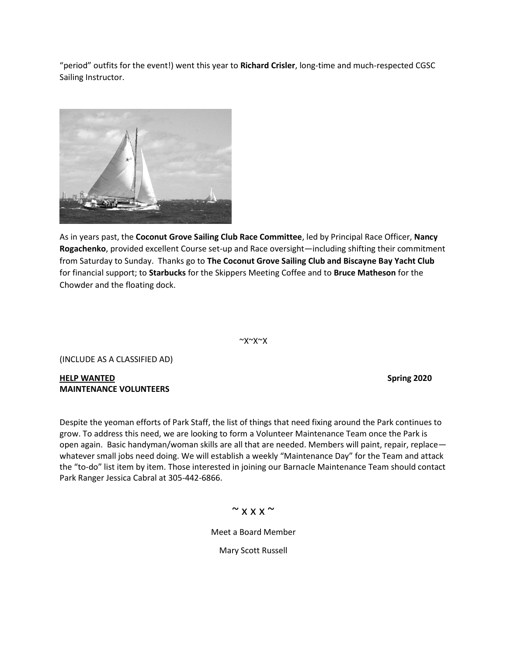"period" outfits for the event!) went this year to **Richard Crisler**, long-time and much-respected CGSC Sailing Instructor.



As in years past, the **Coconut Grove Sailing Club Race Committee**, led by Principal Race Officer, **Nancy Rogachenko**, provided excellent Course set-up and Race oversight—including shifting their commitment from Saturday to Sunday. Thanks go to **The Coconut Grove Sailing Club and Biscayne Bay Yacht Club** for financial support; to **Starbucks** for the Skippers Meeting Coffee and to **Bruce Matheson** for the Chowder and the floating dock.

 $~\sim$  $X~\sim$  $X~\sim$ 

(INCLUDE AS A CLASSIFIED AD)

**HELP WANTED Spring 2020 MAINTENANCE VOLUNTEERS**

Despite the yeoman efforts of Park Staff, the list of things that need fixing around the Park continues to grow. To address this need, we are looking to form a Volunteer Maintenance Team once the Park is open again. Basic handyman/woman skills are all that are needed. Members will paint, repair, replace whatever small jobs need doing. We will establish a weekly "Maintenance Day" for the Team and attack the "to-do" list item by item. Those interested in joining our Barnacle Maintenance Team should contact Park Ranger Jessica Cabral at 305-442-6866.

## $~\sim$  x x x  $\sim$

Meet a Board Member

Mary Scott Russell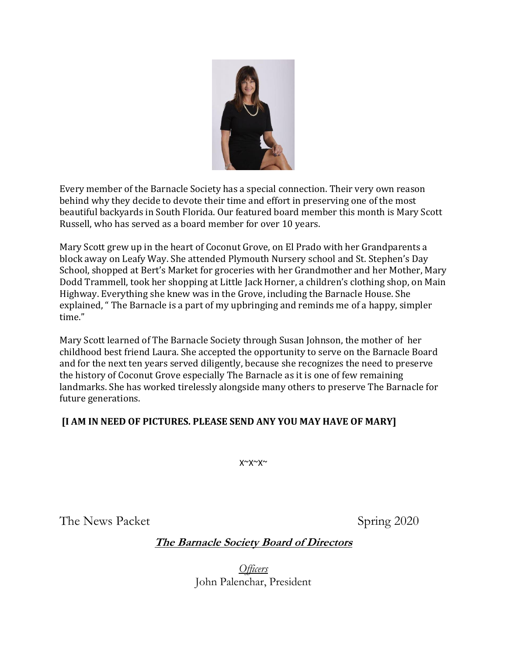

Every member of the Barnacle Society has a special connection. Their very own reason behind why they decide to devote their time and effort in preserving one of the most beautiful backyards in South Florida. Our featured board member this month is Mary Scott Russell, who has served as a board member for over 10 years.

Mary Scott grew up in the heart of Coconut Grove, on El Prado with her Grandparents a block away on Leafy Way. She attended Plymouth Nursery school and St. Stephen's Day School, shopped at Bert's Market for groceries with her Grandmother and her Mother, Mary Dodd Trammell, took her shopping at Little Jack Horner, a children's clothing shop, on Main Highway. Everything she knew was in the Grove, including the Barnacle House. She explained, " The Barnacle is a part of my upbringing and reminds me of a happy, simpler time."

Mary Scott learned of The Barnacle Society through Susan Johnson, the mother of her childhood best friend Laura. She accepted the opportunity to serve on the Barnacle Board and for the next ten years served diligently, because she recognizes the need to preserve the history of Coconut Grove especially The Barnacle as it is one of few remaining landmarks. She has worked tirelessly alongside many others to preserve The Barnacle for future generations.

# **[I AM IN NEED OF PICTURES. PLEASE SEND ANY YOU MAY HAVE OF MARY]**

X~X~X~

The News Packet Spring 2020

# **The Barnacle Society Board of Directors**

*Officers* John Palenchar, President